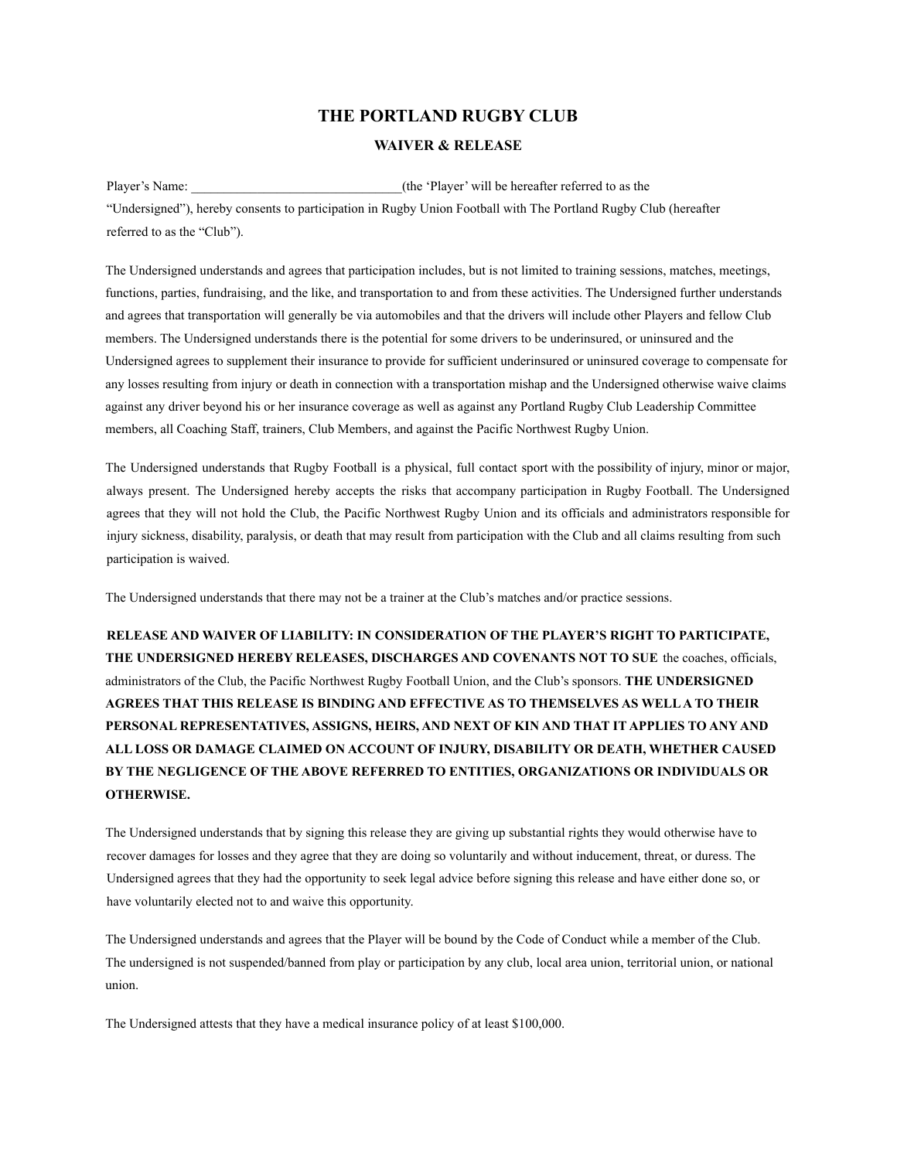## **THE PORTLAND RUGBY CLUB**

## **WAIVER & RELEASE**

Player's Name:  $(the 'Player' will be hereafter referred to as the$ "Undersigned"), hereby consents to participation in Rugby Union Football with The Portland Rugby Club (hereafter referred to as the "Club").

The Undersigned understands and agrees that participation includes, but is not limited to training sessions, matches, meetings, functions, parties, fundraising, and the like, and transportation to and from these activities. The Undersigned further understands and agrees that transportation will generally be via automobiles and that the drivers will include other Players and fellow Club members. The Undersigned understands there is the potential for some drivers to be underinsured, or uninsured and the Undersigned agrees to supplement their insurance to provide for sufficient underinsured or uninsured coverage to compensate for any losses resulting from injury or death in connection with a transportation mishap and the Undersigned otherwise waive claims against any driver beyond his or her insurance coverage as well as against any Portland Rugby Club Leadership Committee members, all Coaching Staff, trainers, Club Members, and against the Pacific Northwest Rugby Union.

The Undersigned understands that Rugby Football is a physical, full contact sport with the possibility of injury, minor or major, always present. The Undersigned hereby accepts the risks that accompany participation in Rugby Football. The Undersigned agrees that they will not hold the Club, the Pacific Northwest Rugby Union and its officials and administrators responsible for injury sickness, disability, paralysis, or death that may result from participation with the Club and all claims resulting from such participation is waived.

The Undersigned understands that there may not be a trainer at the Club's matches and/or practice sessions.

**RELEASE AND WAIVER OF LIABILITY: IN CONSIDERATION OF THE PLAYER'S RIGHT TO PARTICIPATE, THE UNDERSIGNED HEREBY RELEASES, DISCHARGES AND COVENANTS NOT TO SUE** the coaches, officials, administrators of the Club, the Pacific Northwest Rugby Football Union, and the Club's sponsors. **THE UNDERSIGNED AGREES THAT THIS RELEASE IS BINDING AND EFFECTIVE AS TO THEMSELVES AS WELLA TO THEIR PERSONAL REPRESENTATIVES, ASSIGNS, HEIRS, AND NEXT OF KIN AND THAT IT APPLIES TO ANY AND ALL LOSS OR DAMAGE CLAIMED ON ACCOUNT OF INJURY, DISABILITY OR DEATH, WHETHER CAUSED BY THE NEGLIGENCE OF THE ABOVE REFERRED TO ENTITIES, ORGANIZATIONS OR INDIVIDUALS OR OTHERWISE.**

The Undersigned understands that by signing this release they are giving up substantial rights they would otherwise have to recover damages for losses and they agree that they are doing so voluntarily and without inducement, threat, or duress. The Undersigned agrees that they had the opportunity to seek legal advice before signing this release and have either done so, or have voluntarily elected not to and waive this opportunity.

The Undersigned understands and agrees that the Player will be bound by the Code of Conduct while a member of the Club. The undersigned is not suspended/banned from play or participation by any club, local area union, territorial union, or national union.

The Undersigned attests that they have a medical insurance policy of at least \$100,000.